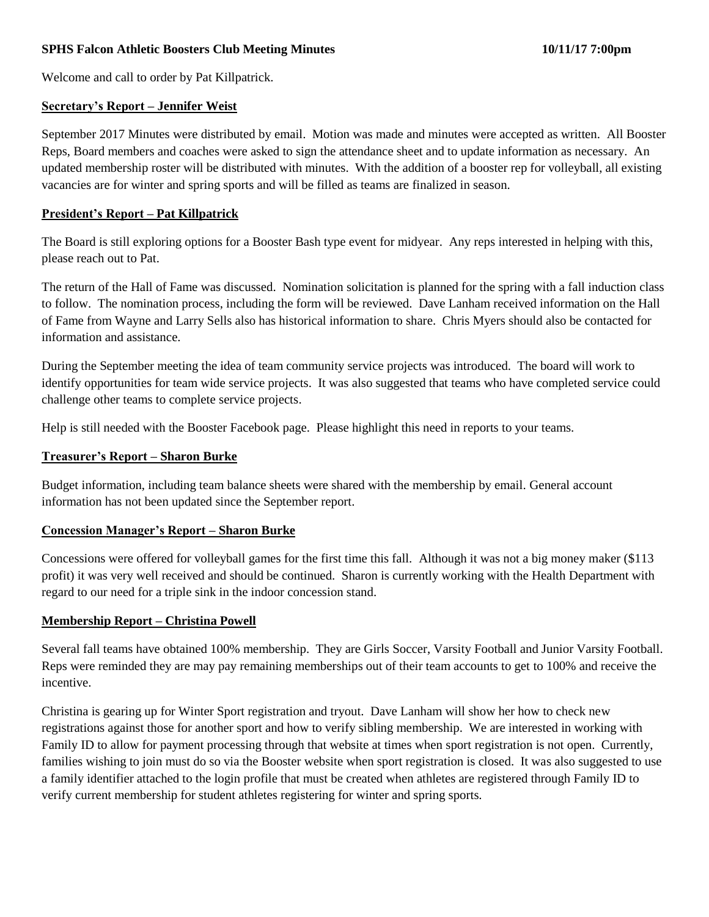## **SPHS Falcon Athletic Boosters Club Meeting Minutes 10/11/17 7:00pm**

Welcome and call to order by Pat Killpatrick.

#### **Secretary's Report – Jennifer Weist**

September 2017 Minutes were distributed by email. Motion was made and minutes were accepted as written. All Booster Reps, Board members and coaches were asked to sign the attendance sheet and to update information as necessary. An updated membership roster will be distributed with minutes. With the addition of a booster rep for volleyball, all existing vacancies are for winter and spring sports and will be filled as teams are finalized in season.

### **President's Report – Pat Killpatrick**

The Board is still exploring options for a Booster Bash type event for midyear. Any reps interested in helping with this, please reach out to Pat.

The return of the Hall of Fame was discussed. Nomination solicitation is planned for the spring with a fall induction class to follow. The nomination process, including the form will be reviewed. Dave Lanham received information on the Hall of Fame from Wayne and Larry Sells also has historical information to share. Chris Myers should also be contacted for information and assistance.

During the September meeting the idea of team community service projects was introduced. The board will work to identify opportunities for team wide service projects. It was also suggested that teams who have completed service could challenge other teams to complete service projects.

Help is still needed with the Booster Facebook page. Please highlight this need in reports to your teams.

#### **Treasurer's Report – Sharon Burke**

Budget information, including team balance sheets were shared with the membership by email. General account information has not been updated since the September report.

### **Concession Manager's Report – Sharon Burke**

Concessions were offered for volleyball games for the first time this fall. Although it was not a big money maker (\$113 profit) it was very well received and should be continued. Sharon is currently working with the Health Department with regard to our need for a triple sink in the indoor concession stand.

### **Membership Report – Christina Powell**

Several fall teams have obtained 100% membership. They are Girls Soccer, Varsity Football and Junior Varsity Football. Reps were reminded they are may pay remaining memberships out of their team accounts to get to 100% and receive the incentive.

Christina is gearing up for Winter Sport registration and tryout. Dave Lanham will show her how to check new registrations against those for another sport and how to verify sibling membership. We are interested in working with Family ID to allow for payment processing through that website at times when sport registration is not open. Currently, families wishing to join must do so via the Booster website when sport registration is closed. It was also suggested to use a family identifier attached to the login profile that must be created when athletes are registered through Family ID to verify current membership for student athletes registering for winter and spring sports.